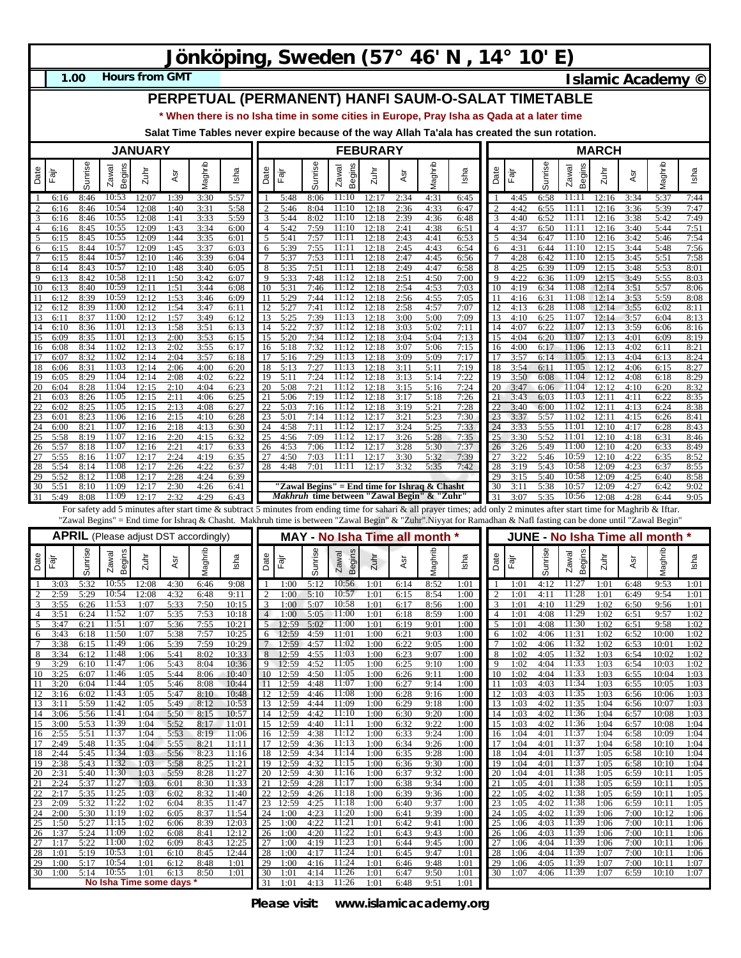# **Jönköping, Sweden (57° 46' N , 14° 10' E)**

**1.00**

**Hours from GMT Islamic Academy ©** 

## **PERPETUAL (PERMANENT) HANFI SAUM-O-SALAT TIMETABLE**

**\* When there is no Isha time in some cities in Europe, Pray Isha as Qada at a later time**

**Salat Time Tables never expire because of the way Allah Ta'ala has created the sun rotation.**

|                                                                                                                                                                                                                                                                                                                                             | <b>JANUARY</b>  |              |                                              |                |              |              |                |          | <b>FEBURARY</b>       |              |                                                                                                     |                |              |              |              |                     |              | <b>MARCH</b> |                                 |                |              |                |              |  |
|---------------------------------------------------------------------------------------------------------------------------------------------------------------------------------------------------------------------------------------------------------------------------------------------------------------------------------------------|-----------------|--------------|----------------------------------------------|----------------|--------------|--------------|----------------|----------|-----------------------|--------------|-----------------------------------------------------------------------------------------------------|----------------|--------------|--------------|--------------|---------------------|--------------|--------------|---------------------------------|----------------|--------------|----------------|--------------|--|
| Date                                                                                                                                                                                                                                                                                                                                        | $\bar{c}$       | Sunrise      | Begins<br>Zawal                              | $2u$ hr        | Asr          | Maghrib      | Isha           | Date     | Ēājī                  | Sunrise      | Begins<br>Zawal                                                                                     | $2$ uhr        | Asr          | Maghrib      | Isha         | Date                | Fajr         | Sunrise      | <b>Begins</b><br>Zawal          | Zuhr           | Asr          | Vlaghrib       | Isha         |  |
| -1<br>$\overline{2}$                                                                                                                                                                                                                                                                                                                        | 6:16<br>6:16    | 8:46<br>8:46 | 10:53<br>10:54                               | 12:07<br>12:08 | 1:39<br>1:40 | 3:30<br>3:31 | 5:57<br>5:58   |          | 5:48<br>5:46          | 8:06<br>8:04 | 11:10<br>11:10                                                                                      | 12:17<br>12:18 | 2:34<br>2:36 | 4:31<br>4:33 | 6:45<br>6:47 | 2                   | 4:45<br>4:42 | 6:58<br>6:55 | 11:11<br>11:11                  | 12:16<br>12:16 | 3:34<br>3:36 | 5:37<br>5:39   | 7:44<br>7:47 |  |
| 3                                                                                                                                                                                                                                                                                                                                           | 6:16            | 8:46         | 10:55                                        | 12:08          | 1:41         | 3:33         | 5:59           |          | 5:44                  | 8:02         | 11:10                                                                                               | 12:18          | 2:39         | 4:36         | 6:48         | 3                   | 4:40         | 6:52         | 11:11                           | 12:16          | 3:38         | 5:42           | 7:49         |  |
| $\overline{4}$<br>$\overline{5}$                                                                                                                                                                                                                                                                                                            | 6:16            | 8:45<br>8:45 | 10:55<br>10:55                               | 12:09<br>12:09 | 1:43<br>1:44 | 3:34<br>3:35 | 6:00<br>6:01   | 5        | 5:42<br>5:41          | 7:59<br>7:57 | 11:10<br>11:11                                                                                      | 12:18<br>12:18 | 2:41<br>2:43 | 4:38<br>4:41 | 6:51<br>6:53 | 4<br>5              | 4:37<br>4:34 | 6:50<br>6:47 | 11:11<br>11:10                  | 12:16<br>12:16 | 3:40<br>3:42 | 5:44<br>5:46   | 7:51<br>7:54 |  |
| 6                                                                                                                                                                                                                                                                                                                                           | 6:15<br>6:15    | 8:44         | 10:57                                        | 12:09          | 1:45         | 3:37         | 6:03           | 6        | 5:39                  | 7:55         | 11:11                                                                                               | 12:18          | 2:45         | 4:43         | 6:54         | 6                   | 4:31         | 6:44         | 11:10                           | 12:15          | 3:44         | 5:48           | 7:56         |  |
| $7\phantom{.0}$                                                                                                                                                                                                                                                                                                                             | 6:15            | 8:44         | 10:57                                        | 12:10          | 1:46         | 3:39         | 6:04           |          | 5:37                  | 7:53         | 11:11                                                                                               | 12:18          | 2:47         | 4:45         | 6:56         |                     | 4:28         | 6:42         | 11:10                           | 12:15          | 3:45         | 5:51           | 7:58         |  |
| 8<br>9                                                                                                                                                                                                                                                                                                                                      | 6:14<br>6:13    | 8:43<br>8:42 | 10:57<br>10:58                               | 12:10<br>12:11 | 1:48<br>1:50 | 3:40<br>3:42 | 6:05<br>6:07   | 8        | 5:35<br>5:33          | 7:51<br>7:48 | 11:11<br>11:12                                                                                      | 12:18<br>12:18 | 2:49<br>2:51 | 4:47<br>4:50 | 6:58<br>7:00 | 8<br>9              | 4:25<br>4:22 | 6:39<br>6:36 | 11:09<br>11:09                  | 12:15<br>12:15 | 3:48<br>3:49 | 5:53<br>5:55   | 8:01<br>8:03 |  |
| 10                                                                                                                                                                                                                                                                                                                                          | 6:13            | 8:40         | 10:59                                        | 12:11          | 1:51         | 3:44         | 6:08           | 10       | 5:31                  | 7:46         | 11:12                                                                                               | 12:18          | 2:54         | 4:53         | 7:03         | 10                  | 4:19         | 6:34         | 11:08                           | 12:14          | 3:51         | 5:57           | 8:06         |  |
| 11<br>12                                                                                                                                                                                                                                                                                                                                    | 6:12<br>6:12    | 8:39<br>8:39 | 10:59<br>11:00                               | 12:12<br>12:12 | 1:53<br>1:54 | 3:46<br>3:47 | 6:09<br>6:11   |          | 5:29<br>5:27          | 7:44<br>7:41 | 11:12<br>11:12                                                                                      | 12:18<br>12:18 | 2:56<br>2:58 | 4:55<br>4:57 | 7:05<br>7:07 | 11<br>12            | 4:16<br>4:13 | 6:31<br>6:28 | 11:08<br>11:08                  | 12:14<br>12:14 | 3:53<br>3:55 | 5:59<br>6:02   | 8:08<br>8:11 |  |
| 13                                                                                                                                                                                                                                                                                                                                          | 6:11            | 8:37         | 11:00                                        | 12:12          | 1:57         | 3:49         | 6:12           | 13       | 5:25                  | 7:39         | 11:13                                                                                               | 12:18          | 3:00         | 5:00         | 7:09         | 13                  | 4:10         | 6:25         | 11:07                           | 12:14          | 3:57         | 6:04           | 8:13         |  |
| 14<br>15                                                                                                                                                                                                                                                                                                                                    | 6:10<br>6:09    | 8:36<br>8:35 | 11:01<br>11:01                               | 12:13<br>12:13 | 1:58<br>2:00 | 3:51<br>3:53 | 6:13<br>6:15   | ι4<br>15 | 5:22<br>5:20          | 7:37<br>7:34 | 11:12<br>11:12                                                                                      | 12:18<br>12:18 | 3:03<br>3:04 | 5:02<br>5:04 | 7:11<br>7:13 | 14<br>15            | 4:07<br>4:04 | 6:22<br>6:20 | 11:07<br>11:07                  | 12:13<br>12:13 | 3:59<br>4:01 | 6:06<br>6:09   | 8:16<br>8:19 |  |
| 16                                                                                                                                                                                                                                                                                                                                          | 6:08            | 8:34         | 11:02                                        | 12:13          | 2:02         | 3:55         | 6:17           | 16       | 5:18                  | 7:32         | 11:12                                                                                               | 12:18          | 3:07         | 5:06         | 7:15         | 16                  | 4:00         | 6:17         | 11:06                           | 12:13          | 4:02         | 6:11           | 8:21         |  |
| 17<br>18                                                                                                                                                                                                                                                                                                                                    | 6:07<br>6:06    | 8:32<br>8:31 | 11:02<br>11:03                               | 12:14<br>12:14 | 2:04<br>2:06 | 3:57<br>4:00 | 6:18<br>6:20   | 17<br>18 | 5:16<br>5:13          | 7:29<br>7:27 | 11:13<br>11:13                                                                                      | 12:18<br>12:18 | 3:09<br>3:11 | 5:09<br>5:11 | 7:17<br>7:19 | 17<br>18            | 3:57<br>3:54 | 6:14<br>6:11 | 11:05<br>11:05                  | 12:13<br>12:12 | 4:04<br>4:06 | 6:13<br>6:15   | 8:24<br>8:27 |  |
| 19                                                                                                                                                                                                                                                                                                                                          | 6:05            | 8:29         | 11:04                                        | 12:14          | 2:08         | 4:02         | 6:22           | 19       | 5:11                  | 7:24         | 11:12                                                                                               | 12:18          | 3:13         | 5:14         | 7:22         | 19                  | 3:50         | 6:08         | 11:04                           | 12:12          | 4:08         | 6:18           | 8:29         |  |
| 20<br>21                                                                                                                                                                                                                                                                                                                                    | 6:04            | 8:28         | 11:04<br>11:05                               | 12:15<br>12:15 | 2:10         | 4:04<br>4:06 | 6:23           | 20       | 5:08<br>5:06          | 7:21<br>7:19 | 11:12<br>11:12                                                                                      | 12:18<br>12:18 | 3:15         | 5:16<br>5:18 | 7:24         | 20                  | 3:47         | 6:06<br>6:03 | 11:04<br>11:03                  | 12:12<br>12:11 | 4:10         | 6:20           | 8:32         |  |
| 22                                                                                                                                                                                                                                                                                                                                          | 6:03<br>6:02    | 8:26<br>8:25 | 11:05                                        | 12:15          | 2:11<br>2:13 | 4:08         | 6:25<br>6:27   |          | 5:03                  | 7:16         | 11:12                                                                                               | 12:18          | 3:17<br>3:19 | 5:21         | 7:26<br>7:28 | 21<br>22            | 3:43<br>3:40 | 6:00         | 11:02                           | 12:11          | 4:11<br>4:13 | 6:22<br>6:24   | 8:35<br>8:38 |  |
| 23                                                                                                                                                                                                                                                                                                                                          | 6:01            | 8:23         | 11:06                                        | 12:16          | 2:15         | 4:10         | 6:28           |          | 5:01                  | 7:14         | 11:12                                                                                               | 12:17          | 3:2          | 5:23         | 7:30         | 23                  | 3:37         | 5:57         | 11:02                           | 12:11          | 4:15         | 6:26           | 8:41         |  |
| 24<br>25                                                                                                                                                                                                                                                                                                                                    | 6:00<br>5:58    | 8:21<br>8:19 | 11:07<br>11:07                               | 12:16<br>12:16 | 2:18<br>2:20 | 4:13<br>4:15 | 6:30<br>6:32   | 24       | 4:58<br>4:56          | 7:11<br>7:09 | 11:12<br>11:12                                                                                      | 12:17<br>12:17 | 3:24<br>3:26 | 5:25<br>5:28 | 7:33<br>7:35 | 24<br>25            | 3:33<br>3:30 | 5:55<br>5:52 | 11:01<br>11:01                  | 12:10<br>12:10 | 4:17<br>4:18 | 6:28<br>6:31   | 8:43<br>8:46 |  |
| 26                                                                                                                                                                                                                                                                                                                                          | 5:57            | 8:18         | 11:07                                        | 12:16          | 2:21         | 4:17         | 6:33           | 26       | 4:53                  | 7:06         | 11:12                                                                                               | 12:17          | 3:28         | 5:30         | 7:37         | 26                  | 3:26         | 5:49         | 11:00                           | 12:10          | 4:20         | 6:33           | 8:49         |  |
| 27<br>28                                                                                                                                                                                                                                                                                                                                    | 5:55<br>5:54    | 8:16<br>8:14 | 11:07<br>11:08                               | 12:17<br>12:17 | 2:24<br>2:26 | 4:19<br>4:22 | 6:35<br>6:37   | 28       | 4:50<br>4:48          | 7:03<br>7:01 | 11:11<br>11:11                                                                                      | 12:17<br>12:17 | 3:30<br>3:32 | 5:32<br>5:35 | 7:39<br>7:42 | 27<br>28            | 3:22<br>3:19 | 5:46<br>5:43 | 10:59<br>10:58                  | 12:10<br>12:09 | 4:22<br>4:23 | 6:35<br>6:37   | 8:52<br>8:55 |  |
| 29                                                                                                                                                                                                                                                                                                                                          | 5:52            | 8:12         | 11:08                                        | 12:17          | 2:28         | 4:24         | 6:39           |          |                       |              |                                                                                                     |                |              |              |              | 29                  | 3:15         | 5:40         | 10:58                           | 12:09          | 4:25         | 6:40           | 8:58         |  |
| 30<br>31                                                                                                                                                                                                                                                                                                                                    | 5:51<br>5:49    | 8:10<br>8:08 | 11:09<br>11:09                               | 12:17<br>12:17 | 2:30<br>2:32 | 4:26<br>4:29 | 6:41<br>6:43   |          |                       |              | "Zawal Begins" = End time for Ishraq & Chasht<br><i>Makhruh</i> time between "Zawal Begin" & "Zuhr" |                |              |              |              | 30<br>31            | 3:11<br>3:07 | 5:38<br>5:35 | 10:57<br>10:56                  | 12:09<br>12:08 | 4:27<br>4:28 | 6:42<br>6:44   | 9:02<br>9:05 |  |
|                                                                                                                                                                                                                                                                                                                                             |                 |              |                                              |                |              |              |                |          |                       |              |                                                                                                     |                |              |              |              |                     |              |              |                                 |                |              |                |              |  |
| For safety add 5 minutes after start time & subtract 5 minutes from ending time for sahari & all prayer times; add only 2 minutes after start time for Maghrib & Iftar.<br>"Zawal Begins" = End time for Ishraq & Chasht. Makhruh time is between "Zawal Begin" & "Zuhr".Niyyat for Ramadhan & Nafl fasting can be done until "Zawal Begin" |                 |              |                                              |                |              |              |                |          |                       |              |                                                                                                     |                |              |              |              |                     |              |              |                                 |                |              |                |              |  |
|                                                                                                                                                                                                                                                                                                                                             |                 |              |                                              |                |              |              |                |          |                       |              |                                                                                                     |                |              |              |              |                     |              |              |                                 |                |              |                |              |  |
|                                                                                                                                                                                                                                                                                                                                             |                 |              | <b>APRIL</b> (Please adjust DST accordingly) |                |              |              |                |          |                       |              | MAY - No Isha Time all month *                                                                      |                |              |              |              |                     |              |              | JUNE - No Isha Time all month * |                |              |                |              |  |
| Date                                                                                                                                                                                                                                                                                                                                        | $\bar{\bar{c}}$ | Sunrise      | Begins<br>Zawal                              | Zuhr           | Asr          | Maghrib      | Isha           | Date     | .<br>मैंगे<br>स्      | Sunrise      | Begins<br>Zawal                                                                                     | Zuhr           | Asr          | Maghrib      | Isha         | Date                | Fār          | Sunrise      | Begins<br>Zawal                 | Zuhr           | Asr          | Maghrib        | Isha         |  |
| -1<br>$\overline{2}$                                                                                                                                                                                                                                                                                                                        | 3:03            | 5:32<br>5:29 | 10:55<br>10:54                               | 12:08          | 4:30         | 6:46         | 9:08<br>9:11   |          | 1:00<br>1:00          | 5:12<br>5:10 | 10:56<br>10:57                                                                                      | 1:01<br>1:01   | 6:14<br>6:15 | 8:52         | 1:01<br>1:00 |                     | 1:01<br>1:01 | 4:12<br>4:11 | 11:27<br>11:28                  | 1:01<br>1:01   | 6:48<br>6:49 | 9:53<br>9:54   | 1:01<br>1:01 |  |
| 3                                                                                                                                                                                                                                                                                                                                           | 2:59<br>3:55    | 6:26         | 11:53                                        | 12:08<br>1:07  | 4:32<br>5:33 | 6:48<br>7:50 | 10:15          |          | 1:00                  | 5:07         | 10:58                                                                                               | 1:01           | 6:17         | 8:54<br>8:56 | 1:00         | $\overline{c}$<br>3 | 1:01         | 4:10         | 11:29                           | 1:02           | 6:50         | 9:56           | 1:01         |  |
| $\overline{4}$                                                                                                                                                                                                                                                                                                                              | 3:5             | 6:24         | 11:52                                        | 1:07           | 5:35         | 7:53         | 10:18          | 4<br>5   | 1:00                  | 5:05         | 11:00                                                                                               | 1:01           | 6:18         | 8:59         | 1:00         | 4                   | 1:0          | 4:08         | 11:29                           | 1:02           | 6:51         | 9:57           | 1:02         |  |
| 5<br>6                                                                                                                                                                                                                                                                                                                                      | 3:47<br>3:43    | 6:21<br>6:18 | 11:51<br>11:50                               | 1:07<br>1:07   | 5:36<br>5:38 | 7:55<br>7:57 | 10:21<br>10:25 | 6        | 12:59<br>12:59        | 5:02<br>4:59 | 11:00<br>11:01                                                                                      | 1:01<br>1:00   | 6:19<br>6:21 | 9:01<br>9:03 | 1:00<br>1:00 | 5<br>6              | 1:0<br>1:02  | 4:08<br>4:06 | 11:30<br>11:31                  | 1:02<br>1:02   | 6:51<br>6:52 | 9:58<br>10:00  | 1:02<br>1:02 |  |
| $\overline{7}$                                                                                                                                                                                                                                                                                                                              | 3:38            | 6:15         | 11:49                                        | 1:06           | 5:39         | 7:59         | 10:29          |          | 12:59                 | 4:57         | 11:02                                                                                               | 1:00           | 6:22         | 9:05         | 1:00         | 7                   | 1:02         | 4:06         | 11:32                           | 1:02           | 6:53         | 10:01          | 1:02         |  |
| 8<br>9                                                                                                                                                                                                                                                                                                                                      | 3:34<br>3:29    | 6:12<br>6:10 | 11:48<br>11:47                               | 1:06<br>1:06   | 5:41<br>5:43 | 8:02<br>8:04 | 10:33<br>10:36 | 8        | 12:59<br>12:59        | 4:55<br>4:52 | 11:03<br>11:05                                                                                      | 1:00<br>1:00   | 6:23<br>6:25 | 9:07<br>9:10 | 1:00<br>1:00 | 8<br>9              | 1:02<br>1:02 | 4:05<br>4:04 | 11:32<br>11:33                  | 1:03<br>1:03   | 6:54<br>6:54 | 10:02<br>10:03 | 1:02<br>1:02 |  |
| 10                                                                                                                                                                                                                                                                                                                                          | 3:25            | 6:07         | 11:46                                        | 1:05           | 5:44         | 8:06         | 10:40          | 10       | 12:59                 | 4:50         | 11:05                                                                                               | 1:00           | 6:26         | 9:11         | 1:00         | 10                  | 1:02         | 4:04         | 11:33                           | 1:03           | 6:55         | 10:04          | 1:03         |  |
| 11<br>12                                                                                                                                                                                                                                                                                                                                    | 3.20<br>3:16    | 6:04<br>6:02 | 11:44<br>11:43                               | 1:05<br>1:05   | 5:46<br>5:47 | 8:08<br>8:10 | 10:44<br>10:48 | 12       | 12.59<br>12:59        | 4:48<br>4:46 | 11:07<br>11:08                                                                                      | 1:00<br>1:00   | 6:27<br>6:28 | 9:14<br>9:16 | 1:00<br>1:00 | 12                  | 1:03<br>1:03 | 4:03<br>4:03 | 11:34<br>11:35                  | 1:03<br>1:03   | 6:55<br>6:56 | 10:05<br>10:06 | 1:03<br>1:03 |  |
| 13                                                                                                                                                                                                                                                                                                                                          | 3:11            | 5:59         | 11:42                                        | 1:05           | 5:49         | 8:12         | 10:53          |          | 13 12:59              | 4:44         | 11:09                                                                                               | 1:00           | 6:29         | 9:18         | 1:00         | 13                  | 1:03         | 4:02         | 11:35                           | 1:04           | 6:56         | 10:07          | 1:03         |  |
| 14<br>15                                                                                                                                                                                                                                                                                                                                    | 3:06<br>3:00    | 5:56<br>5:53 | 11:41<br>11:39                               | 1:04<br>1:04   | 5:50<br>5:52 | 8:15<br>8:17 | 10:57<br>11:01 |          | 14 12:59<br>15 12:59  | 4:42<br>4:40 | 11:10<br>11:11                                                                                      | 1:00<br>1:00   | 6:30<br>6:32 | 9:20<br>9:22 | 1:00<br>1:00 | 14<br>15            | 1:03<br>1:03 | 4:02<br>4:02 | 11:36<br>11:36                  | 1:04<br>1:04   | 6:57<br>6:57 | 10:08<br>10:08 | 1:03<br>1:04 |  |
| 16                                                                                                                                                                                                                                                                                                                                          | 2:55            | 5:51         | 11:37                                        | 1:04           | 5:53         | 8:19         | 11:06          |          | 16 12:59              | 4:38         | 11:12                                                                                               | 1:00           | 6:33         | 9:24         | 1:00         | 16                  | 1:04         | 4:01         | 11:37                           | 1:04           | 6:58         | 10:09          | 1:04         |  |
| 17<br>18                                                                                                                                                                                                                                                                                                                                    | 2:49<br>2:44    | 5:48<br>5:45 | 11:35<br>11:34                               | 1:04<br>1:03   | 5:55         | 8:21         | 11:11<br>11:16 |          | 17 12:59<br>18 12:59  | 4:36<br>4:34 | 11:13<br>11:14                                                                                      | 1:00<br>1:00   | 6:34<br>6:35 | 9:26<br>9:28 | 1:00<br>1:00 | 17<br>18            | 1:04<br>1:04 | 4:01<br>4:01 | 11:37<br>11:37                  | 1:04<br>1:05   | 6:58<br>6:58 | 10:10<br>10:10 | 1:04<br>1:04 |  |
| 19                                                                                                                                                                                                                                                                                                                                          | 2:38            | 5:43         | 11:32                                        | 1:03           | 5:56<br>5:58 | 8:23<br>8:25 | 11:21          |          | $\overline{19}$ 12:59 | 4:32         | 11:15                                                                                               | 1:00           | 6:36         | 9:30         | 1:00         | 19                  | 1:04         | 4:01         | 11:37                           | 1:05           | 6:58         | 10:10          | 1:04         |  |
| 20                                                                                                                                                                                                                                                                                                                                          | 2:31            | 5:40         | 11:30                                        | 1:03           | 5:59         | 8:28         | 11:27          | 20       | 12:59                 | 4:30         | 11:16                                                                                               | 1:00           | 6:37         | 9:32         | 1:00         | 20                  | 1:04         | 4:01         | 11:38                           | 1:05           | 6:59         | 10:11          | 1:05         |  |
| 21<br>22                                                                                                                                                                                                                                                                                                                                    | 2:24<br>2:17    | 5:37<br>5:35 | 11:27<br>11:25                               | 1:03<br>1:03   | 6:01<br>6:02 | 8:30<br>8:32 | 11:33<br>11:40 | 22       | 21 12:59<br>12:59     | 4:28<br>4:26 | 11:17<br>11:18                                                                                      | 1:00<br>1:00   | 6:38<br>6:39 | 9:34<br>9:36 | 1:00<br>1:00 | 21<br>22            | 1:05<br>1:05 | 4:01<br>4:02 | 11:38<br>11:38                  | 1:05<br>1:05   | 6:59<br>6:59 | 10:11<br>10:11 | 1:05<br>1:05 |  |
| 23                                                                                                                                                                                                                                                                                                                                          | 2:09            | 5:32         | 11:22                                        | 1:02           | 6:04         | 8:35         | 11:47          | 23       | 12:59                 | 4:25         | 11:18                                                                                               | 1:00           | 6:40         | 9:37         | 1:00         | 23                  | 1:05         | 4:02         | 11:38                           | 1:06           | 6:59         | 10:11          | 1:05         |  |
| 24<br>25                                                                                                                                                                                                                                                                                                                                    | 2:00<br>1:50    | 5:30<br>5:27 | 11:19<br>11:15                               | 1:02<br>1:02   | 6:05<br>6:06 | 8:37<br>8:39 | 11:54<br>12:03 | 24<br>25 | 1:00<br>1:00          | 4:23<br>4:22 | 11:20<br>11:21                                                                                      | 1:00<br>1:01   | 6:41<br>6:42 | 9:39<br>9:41 | 1:00<br>1:00 | 24<br>25            | 1:05<br>1:06 | 4:02<br>4:03 | 11:39<br>11:39                  | 1:06<br>1:06   | 7:00<br>7:00 | 10:12<br>10:11 | 1:06<br>1:06 |  |
| 26                                                                                                                                                                                                                                                                                                                                          | 1:37            | 5:24         | 11:09                                        | 1:02           | 6:08         | 8:41         | 12:12          | 26       | 1:00                  | 4:20         | 11:22                                                                                               | 1:01           | 6:43         | 9:43         | 1:00         | 26                  | 1:06         | 4:03         | 11:39                           | 1:06           | 7:00         | 10:11          | 1:06         |  |
| 27<br>28                                                                                                                                                                                                                                                                                                                                    | 1:17<br>1:01    | 5:22<br>5:19 | 11:00<br>10:53                               | 1:02<br>1:01   | 6:09<br>6:10 | 8:43<br>8:45 | 12:25<br>12:44 | 27<br>28 | 1:00<br>1:00          | 4:19<br>4:17 | 11:23<br>11:24                                                                                      | 1:01<br>1:01   | 6:44<br>6:45 | 9:45<br>9:47 | 1:00<br>1:01 | 27<br>28            | 1:06<br>1:06 | 4:04<br>4:04 | 11:39<br>11:39                  | 1:06<br>1:07   | 7:00<br>7:00 | 10:11<br>10:11 | 1:06<br>1:06 |  |
| 29<br>30                                                                                                                                                                                                                                                                                                                                    | 1:00<br>1:00    | 5:17<br>5:14 | 10:54<br>10:55                               | 1:01<br>1:01   | 6:12<br>6:13 | 8:48<br>8:50 | 1:01<br>1:01   | 29<br>30 | 1:00<br>1:01          | 4:16<br>4:14 | 11:24<br>11:26                                                                                      | 1:01<br>1:01   | 6:46<br>6:47 | 9:48<br>9:50 | 1:01<br>1:01 | 29<br>30            | 1:06<br>1:07 | 4:05<br>4:06 | 11:39<br>11:39                  | 1:07<br>1:07   | 7:00<br>6:59 | 10:11<br>10:10 | 1:07<br>1:07 |  |

**Please visit: www.islamicacademy.org**